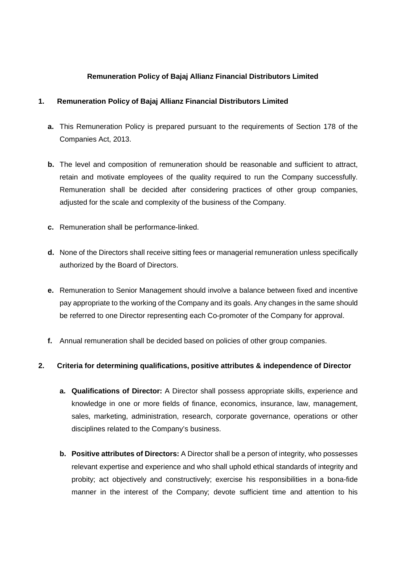## **Remuneration Policy of Bajaj Allianz Financial Distributors Limited**

## **1. Remuneration Policy of Bajaj Allianz Financial Distributors Limited**

- **a.** This Remuneration Policy is prepared pursuant to the requirements of Section 178 of the Companies Act, 2013.
- **b.** The level and composition of remuneration should be reasonable and sufficient to attract, retain and motivate employees of the quality required to run the Company successfully. Remuneration shall be decided after considering practices of other group companies, adjusted for the scale and complexity of the business of the Company.
- **c.** Remuneration shall be performance-linked.
- **d.** None of the Directors shall receive sitting fees or managerial remuneration unless specifically authorized by the Board of Directors.
- **e.** Remuneration to Senior Management should involve a balance between fixed and incentive pay appropriate to the working of the Company and its goals. Any changes in the same should be referred to one Director representing each Co-promoter of the Company for approval.
- **f.** Annual remuneration shall be decided based on policies of other group companies.

## **2. Criteria for determining qualifications, positive attributes & independence of Director**

- **a. Qualifications of Director:** A Director shall possess appropriate skills, experience and knowledge in one or more fields of finance, economics, insurance, law, management, sales, marketing, administration, research, corporate governance, operations or other disciplines related to the Company's business.
- **b. Positive attributes of Directors:** A Director shall be a person of integrity, who possesses relevant expertise and experience and who shall uphold ethical standards of integrity and probity; act objectively and constructively; exercise his responsibilities in a bona-fide manner in the interest of the Company; devote sufficient time and attention to his